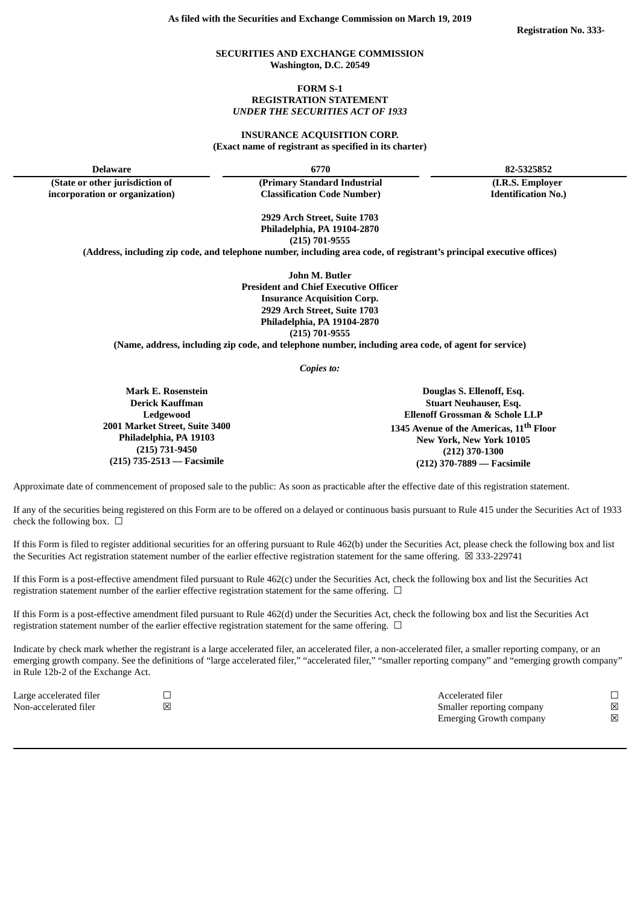### **SECURITIES AND EXCHANGE COMMISSION Washington, D.C. 20549**

### **FORM S-1 REGISTRATION STATEMENT** *UNDER THE SECURITIES ACT OF 1933*

## **INSURANCE ACQUISITION CORP. (Exact name of registrant as specified in its charter)**

**(State or other jurisdiction of incorporation or organization)**

**Delaware 6770 82-5325852**

**(Primary Standard Industrial Classification Code Number)**

**(I.R.S. Employer Identification No.)**

**2929 Arch Street, Suite 1703 Philadelphia, PA 19104-2870 (215) 701-9555**

**(Address, including zip code, and telephone number, including area code, of registrant's principal executive offices)**

**John M. Butler President and Chief Executive Officer Insurance Acquisition Corp. 2929 Arch Street, Suite 1703 Philadelphia, PA 19104-2870 (215) 701-9555**

**(Name, address, including zip code, and telephone number, including area code, of agent for service)**

*Copies to:*

**Mark E. Rosenstein Derick Kauffman Ledgewood 2001 Market Street, Suite 3400 Philadelphia, PA 19103 (215) 731-9450 (215) 735-2513 — Facsimile**

**Douglas S. Ellenoff, Esq. Stuart Neuhauser, Esq. Ellenoff Grossman & Schole LLP 1345 Avenue of the Americas, 11 th Floor New York, New York 10105 (212) 370-1300 (212) 370-7889 — Facsimile**

Approximate date of commencement of proposed sale to the public: As soon as practicable after the effective date of this registration statement.

If any of the securities being registered on this Form are to be offered on a delayed or continuous basis pursuant to Rule 415 under the Securities Act of 1933 check the following box.  $\Box$ 

If this Form is filed to register additional securities for an offering pursuant to Rule 462(b) under the Securities Act, please check the following box and list the Securities Act registration statement number of the earlier effective registration statement for the same offering.  $\boxtimes$  333-229741

If this Form is a post-effective amendment filed pursuant to Rule 462(c) under the Securities Act, check the following box and list the Securities Act registration statement number of the earlier effective registration statement for the same offering.  $\Box$ 

If this Form is a post-effective amendment filed pursuant to Rule 462(d) under the Securities Act, check the following box and list the Securities Act registration statement number of the earlier effective registration statement for the same offering.  $\Box$ 

Indicate by check mark whether the registrant is a large accelerated filer, an accelerated filer, a non-accelerated filer, a smaller reporting company, or an emerging growth company. See the definitions of "large accelerated filer," "accelerated filer," "smaller reporting company" and "emerging growth company" in Rule 12b-2 of the Exchange Act.

| Large accelerated filer |   | Accelerated filer              |   |
|-------------------------|---|--------------------------------|---|
| Non-accelerated filer   | ⊠ | Smaller reporting company      | 冈 |
|                         |   | <b>Emerging Growth company</b> | ⊠ |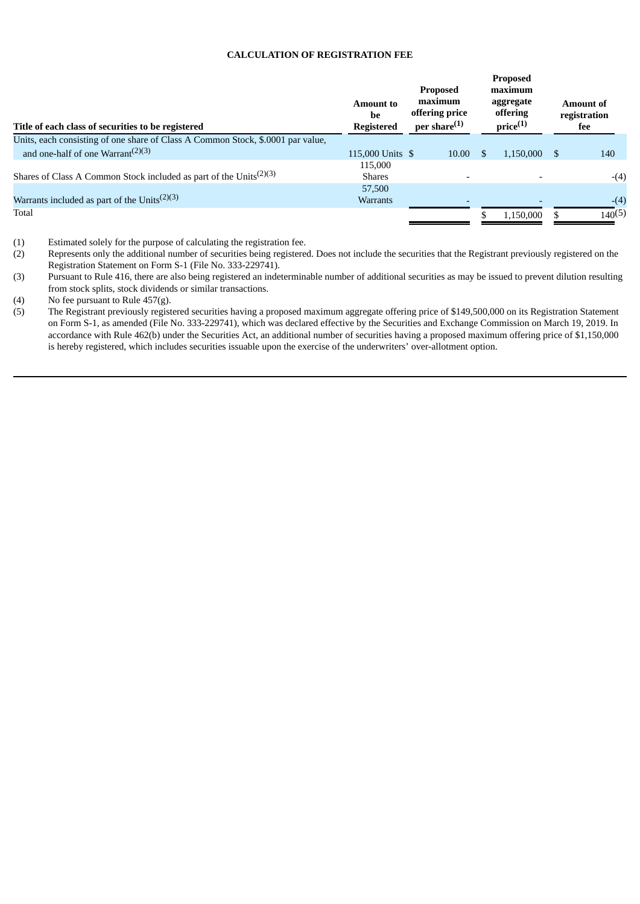## **CALCULATION OF REGISTRATION FEE**

| Title of each class of securities to be registered                              | <b>Amount to</b><br>be<br><b>Registered</b> | <b>Proposed</b><br>maximum<br>offering price<br>per share <sup>(1)</sup> |               | <b>Proposed</b><br>maximum<br>aggregate<br>offering<br>$price^{(1)}$ |    | <b>Amount of</b><br>registration<br>fee |  |
|---------------------------------------------------------------------------------|---------------------------------------------|--------------------------------------------------------------------------|---------------|----------------------------------------------------------------------|----|-----------------------------------------|--|
| Units, each consisting of one share of Class A Common Stock, \$.0001 par value, |                                             |                                                                          |               |                                                                      |    |                                         |  |
| and one-half of one Warrant <sup><math>(2)(3)</math></sup>                      | 115,000 Units \$                            | 10.00                                                                    | <sup>\$</sup> | 1.150.000                                                            | -S | 140                                     |  |
| Shares of Class A Common Stock included as part of the Units <sup>(2)(3)</sup>  | 115,000<br><b>Shares</b>                    |                                                                          |               |                                                                      |    | $-(4)$                                  |  |
|                                                                                 | 57,500                                      |                                                                          |               |                                                                      |    |                                         |  |
| Warrants included as part of the Units <sup><math>(2)(3)</math></sup>           | <b>Warrants</b>                             |                                                                          |               |                                                                      |    | $-(4)$                                  |  |
| Total                                                                           |                                             |                                                                          |               | 1.150.000                                                            |    | 140(5)                                  |  |
|                                                                                 |                                             |                                                                          |               |                                                                      |    |                                         |  |

- (1) Estimated solely for the purpose of calculating the registration fee.<br>(2) Represents only the additional number of securities being registered Represents only the additional number of securities being registered. Does not include the securities that the Registrant previously registered on the Registration Statement on Form S-1 (File No. 333-229741).
- (3) Pursuant to Rule 416, there are also being registered an indeterminable number of additional securities as may be issued to prevent dilution resulting from stock splits, stock dividends or similar transactions.

(4) No fee pursuant to Rule 457(g).<br>(5) The Registrant previously regist

The Registrant previously registered securities having a proposed maximum aggregate offering price of \$149,500,000 on its Registration Statement on Form S-1, as amended (File No. 333-229741), which was declared effective by the Securities and Exchange Commission on March 19, 2019. In accordance with Rule 462(b) under the Securities Act, an additional number of securities having a proposed maximum offering price of \$1,150,000 is hereby registered, which includes securities issuable upon the exercise of the underwriters' over-allotment option.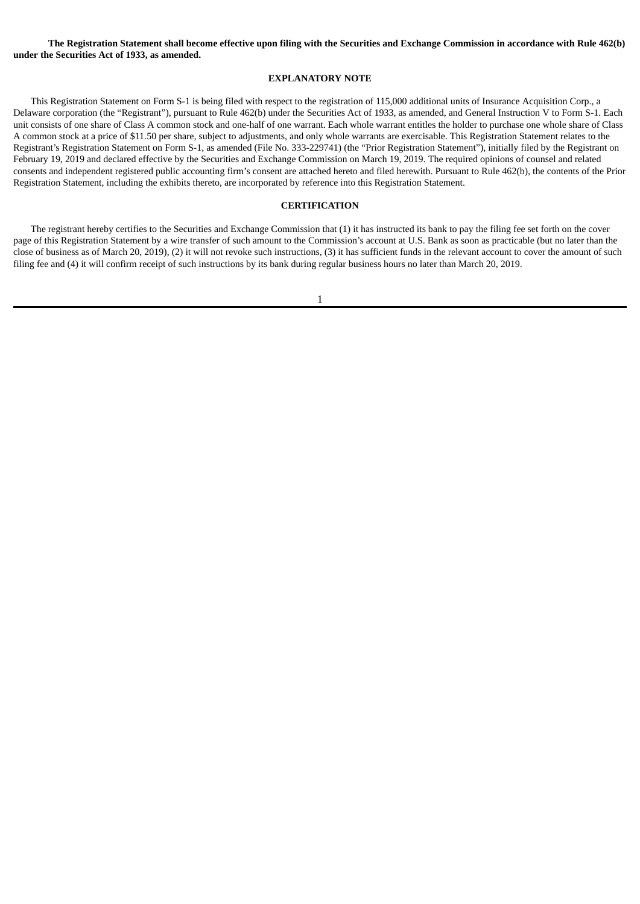The Registration Statement shall become effective upon filing with the Securities and Exchange Commission in accordance with Rule 462(b) **under the Securities Act of 1933, as amended.**

#### **EXPLANATORY NOTE**

This Registration Statement on Form S-1 is being filed with respect to the registration of 115,000 additional units of Insurance Acquisition Corp., a Delaware corporation (the "Registrant"), pursuant to Rule 462(b) under the Securities Act of 1933, as amended, and General Instruction V to Form S-1. Each unit consists of one share of Class A common stock and one-half of one warrant. Each whole warrant entitles the holder to purchase one whole share of Class A common stock at a price of \$11.50 per share, subject to adjustments, and only whole warrants are exercisable. This Registration Statement relates to the Registrant's Registration Statement on Form S-1, as amended (File No. 333-229741) (the "Prior Registration Statement"), initially filed by the Registrant on February 19, 2019 and declared effective by the Securities and Exchange Commission on March 19, 2019. The required opinions of counsel and related consents and independent registered public accounting firm's consent are attached hereto and filed herewith. Pursuant to Rule 462(b), the contents of the Prior Registration Statement, including the exhibits thereto, are incorporated by reference into this Registration Statement.

## **CERTIFICATION**

The registrant hereby certifies to the Securities and Exchange Commission that (1) it has instructed its bank to pay the filing fee set forth on the cover page of this Registration Statement by a wire transfer of such amount to the Commission's account at U.S. Bank as soon as practicable (but no later than the close of business as of March 20, 2019), (2) it will not revoke such instructions, (3) it has sufficient funds in the relevant account to cover the amount of such filing fee and (4) it will confirm receipt of such instructions by its bank during regular business hours no later than March 20, 2019.

1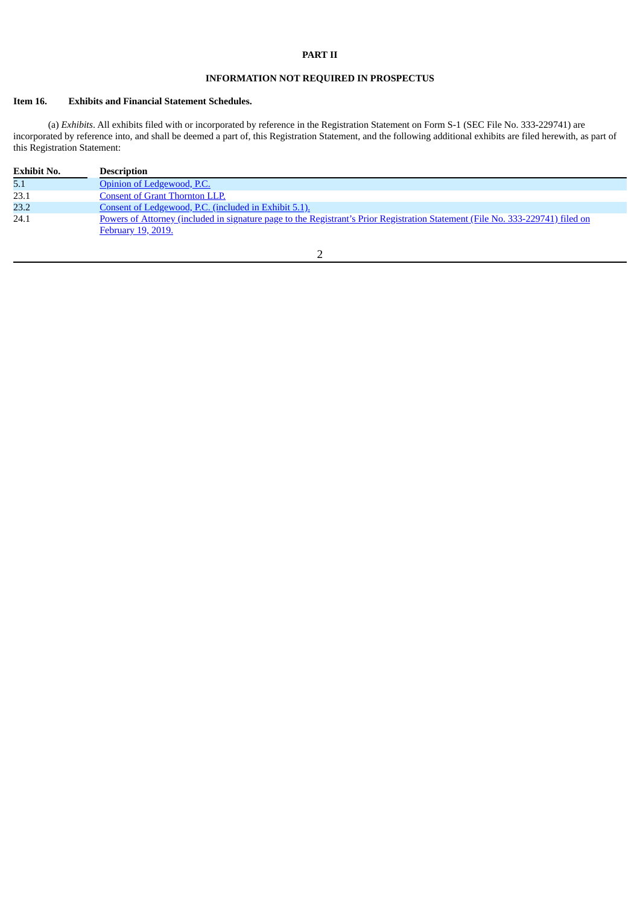## **PART II**

# **INFORMATION NOT REQUIRED IN PROSPECTUS**

# **Item 16. Exhibits and Financial Statement Schedules.**

(a) *Exhibits*. All exhibits filed with or incorporated by reference in the Registration Statement on Form S-1 (SEC File No. 333-229741) are incorporated by reference into, and shall be deemed a part of, this Registration Statement, and the following additional exhibits are filed herewith, as part of this Registration Statement:

| <b>Exhibit No.</b> | <b>Description</b>                                                                                                                                          |
|--------------------|-------------------------------------------------------------------------------------------------------------------------------------------------------------|
| 5.1                | Opinion of Ledgewood, P.C.                                                                                                                                  |
| 23.1               | Consent of Grant Thornton LLP.                                                                                                                              |
| 23.2               | Consent of Ledgewood, P.C. (included in Exhibit 5.1).                                                                                                       |
| 24.1               | Powers of Attorney (included in signature page to the Registrant's Prior Registration Statement (File No. 333-229741) filed on<br><u>February 19, 2019.</u> |

# 2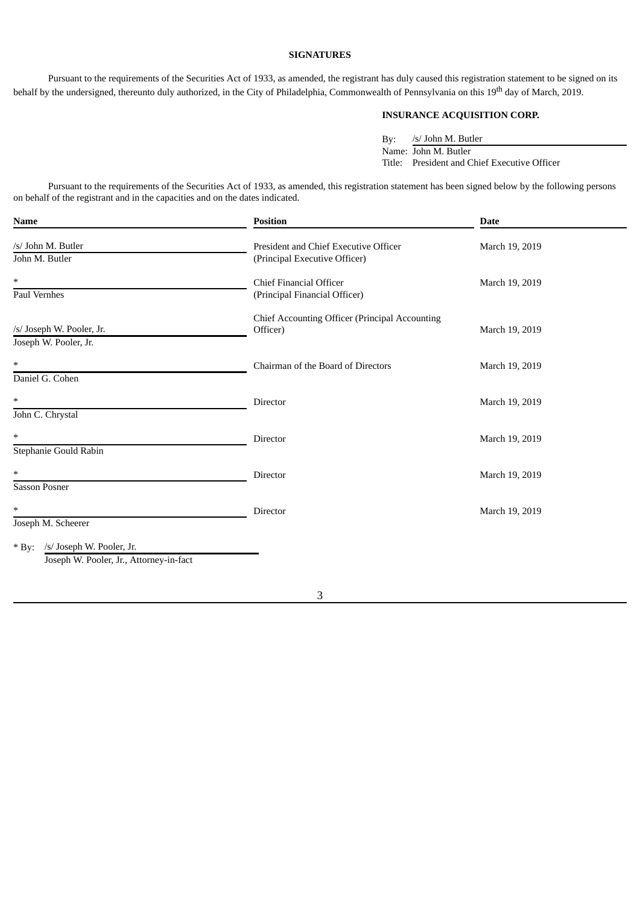## **SIGNATURES**

Pursuant to the requirements of the Securities Act of 1933, as amended, the registrant has duly caused this registration statement to be signed on its behalf by the undersigned, thereunto duly authorized, in the City of Philadelphia, Commonwealth of Pennsylvania on this 19<sup>th</sup> day of March, 2019.

# **INSURANCE ACQUISITION CORP.**

By: /s/ John M. Butler Name: John M. Butler Title: President and Chief Executive Officer

Pursuant to the requirements of the Securities Act of 1933, as amended, this registration statement has been signed below by the following persons on behalf of the registrant and in the capacities and on the dates indicated.

| <b>Name</b>                                                                     | <b>Position</b>                                                        | <b>Date</b>    |  |  |
|---------------------------------------------------------------------------------|------------------------------------------------------------------------|----------------|--|--|
| /s/ John M. Butler<br>John M. Butler                                            | President and Chief Executive Officer<br>(Principal Executive Officer) | March 19, 2019 |  |  |
| *<br>Paul Vernhes                                                               | <b>Chief Financial Officer</b><br>(Principal Financial Officer)        | March 19, 2019 |  |  |
| /s/ Joseph W. Pooler, Jr.<br>Joseph W. Pooler, Jr.                              | Chief Accounting Officer (Principal Accounting<br>Officer)             | March 19, 2019 |  |  |
| $\ast$<br>Daniel G. Cohen                                                       | Chairman of the Board of Directors                                     | March 19, 2019 |  |  |
| $\ast$<br>John C. Chrystal                                                      | Director                                                               | March 19, 2019 |  |  |
| $\ast$<br>Stephanie Gould Rabin                                                 | Director                                                               | March 19, 2019 |  |  |
| *<br><b>Sasson Posner</b>                                                       | Director                                                               | March 19, 2019 |  |  |
| $\ast$<br>Joseph M. Scheerer                                                    | Director                                                               | March 19, 2019 |  |  |
| /s/ Joseph W. Pooler, Jr.<br>$*$ By:<br>Joseph W. Pooler, Jr., Attorney-in-fact |                                                                        |                |  |  |

3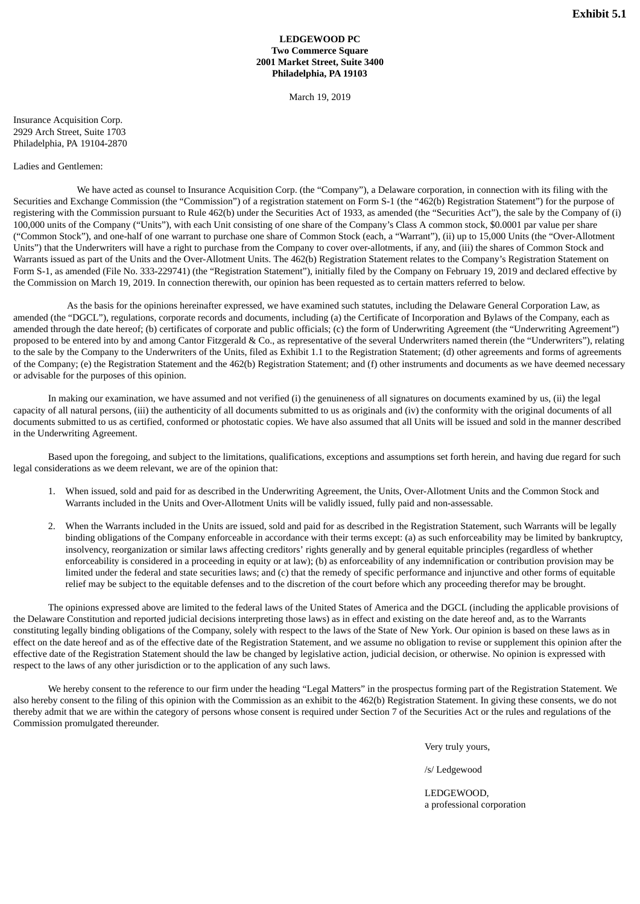## **LEDGEWOOD PC Two Commerce Square 2001 Market Street, Suite 3400 Philadelphia, PA 19103**

March 19, 2019

Insurance Acquisition Corp. 2929 Arch Street, Suite 1703 Philadelphia, PA 19104-2870

#### Ladies and Gentlemen:

We have acted as counsel to Insurance Acquisition Corp. (the "Company"), a Delaware corporation, in connection with its filing with the Securities and Exchange Commission (the "Commission") of a registration statement on Form S-1 (the "462(b) Registration Statement") for the purpose of registering with the Commission pursuant to Rule 462(b) under the Securities Act of 1933, as amended (the "Securities Act"), the sale by the Company of (i) 100,000 units of the Company ("Units"), with each Unit consisting of one share of the Company's Class A common stock, \$0.0001 par value per share ("Common Stock"), and one-half of one warrant to purchase one share of Common Stock (each, a "Warrant"), (ii) up to 15,000 Units (the "Over-Allotment Units") that the Underwriters will have a right to purchase from the Company to cover over-allotments, if any, and (iii) the shares of Common Stock and Warrants issued as part of the Units and the Over-Allotment Units. The 462(b) Registration Statement relates to the Company's Registration Statement on Form S-1, as amended (File No. 333-229741) (the "Registration Statement"), initially filed by the Company on February 19, 2019 and declared effective by the Commission on March 19, 2019. In connection therewith, our opinion has been requested as to certain matters referred to below.

As the basis for the opinions hereinafter expressed, we have examined such statutes, including the Delaware General Corporation Law, as amended (the "DGCL"), regulations, corporate records and documents, including (a) the Certificate of Incorporation and Bylaws of the Company, each as amended through the date hereof; (b) certificates of corporate and public officials; (c) the form of Underwriting Agreement (the "Underwriting Agreement") proposed to be entered into by and among Cantor Fitzgerald & Co., as representative of the several Underwriters named therein (the "Underwriters"), relating to the sale by the Company to the Underwriters of the Units, filed as Exhibit 1.1 to the Registration Statement; (d) other agreements and forms of agreements of the Company; (e) the Registration Statement and the 462(b) Registration Statement; and (f) other instruments and documents as we have deemed necessary or advisable for the purposes of this opinion.

In making our examination, we have assumed and not verified (i) the genuineness of all signatures on documents examined by us, (ii) the legal capacity of all natural persons, (iii) the authenticity of all documents submitted to us as originals and (iv) the conformity with the original documents of all documents submitted to us as certified, conformed or photostatic copies. We have also assumed that all Units will be issued and sold in the manner described in the Underwriting Agreement.

Based upon the foregoing, and subject to the limitations, qualifications, exceptions and assumptions set forth herein, and having due regard for such legal considerations as we deem relevant, we are of the opinion that:

- 1. When issued, sold and paid for as described in the Underwriting Agreement, the Units, Over-Allotment Units and the Common Stock and Warrants included in the Units and Over-Allotment Units will be validly issued, fully paid and non-assessable.
- 2. When the Warrants included in the Units are issued, sold and paid for as described in the Registration Statement, such Warrants will be legally binding obligations of the Company enforceable in accordance with their terms except: (a) as such enforceability may be limited by bankruptcy, insolvency, reorganization or similar laws affecting creditors' rights generally and by general equitable principles (regardless of whether enforceability is considered in a proceeding in equity or at law); (b) as enforceability of any indemnification or contribution provision may be limited under the federal and state securities laws; and (c) that the remedy of specific performance and injunctive and other forms of equitable relief may be subject to the equitable defenses and to the discretion of the court before which any proceeding therefor may be brought.

The opinions expressed above are limited to the federal laws of the United States of America and the DGCL (including the applicable provisions of the Delaware Constitution and reported judicial decisions interpreting those laws) as in effect and existing on the date hereof and, as to the Warrants constituting legally binding obligations of the Company, solely with respect to the laws of the State of New York. Our opinion is based on these laws as in effect on the date hereof and as of the effective date of the Registration Statement, and we assume no obligation to revise or supplement this opinion after the effective date of the Registration Statement should the law be changed by legislative action, judicial decision, or otherwise. No opinion is expressed with respect to the laws of any other jurisdiction or to the application of any such laws.

We hereby consent to the reference to our firm under the heading "Legal Matters" in the prospectus forming part of the Registration Statement. We also hereby consent to the filing of this opinion with the Commission as an exhibit to the 462(b) Registration Statement. In giving these consents, we do not thereby admit that we are within the category of persons whose consent is required under Section 7 of the Securities Act or the rules and regulations of the Commission promulgated thereunder.

Very truly yours,

/s/ Ledgewood

LEDGEWOOD, a professional corporation